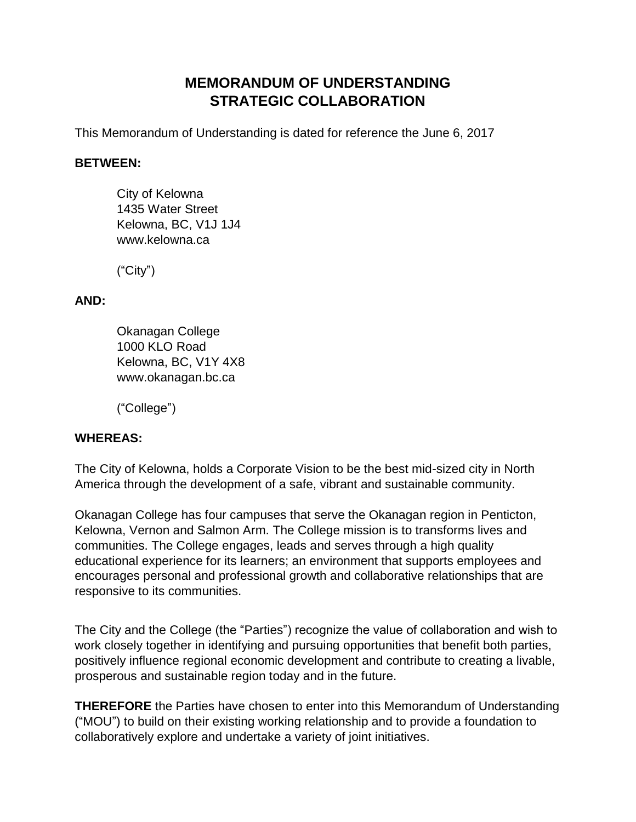# **MEMORANDUM OF UNDERSTANDING STRATEGIC COLLABORATION**

This Memorandum of Understanding is dated for reference the June 6, 2017

### **BETWEEN:**

City of Kelowna 1435 Water Street Kelowna, BC, V1J 1J4 www.kelowna.ca

("City")

#### **AND:**

Okanagan College 1000 KLO Road Kelowna, BC, V1Y 4X8 www.okanagan.bc.ca

("College")

## **WHEREAS:**

The City of Kelowna, holds a Corporate Vision to be the best mid-sized city in North America through the development of a safe, vibrant and sustainable community.

Okanagan College has four campuses that serve the Okanagan region in Penticton, Kelowna, Vernon and Salmon Arm. The College mission is to transforms lives and communities. The College engages, leads and serves through a high quality educational experience for its learners; an environment that supports employees and encourages personal and professional growth and collaborative relationships that are responsive to its communities.

The City and the College (the "Parties") recognize the value of collaboration and wish to work closely together in identifying and pursuing opportunities that benefit both parties, positively influence regional economic development and contribute to creating a livable, prosperous and sustainable region today and in the future.

**THEREFORE** the Parties have chosen to enter into this Memorandum of Understanding ("MOU") to build on their existing working relationship and to provide a foundation to collaboratively explore and undertake a variety of joint initiatives.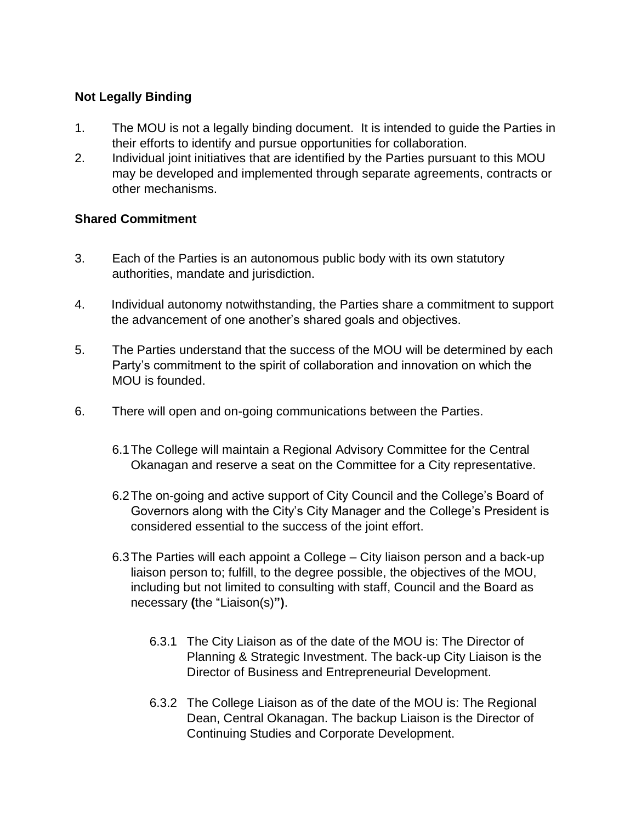## **Not Legally Binding**

- 1. The MOU is not a legally binding document. It is intended to guide the Parties in their efforts to identify and pursue opportunities for collaboration.
- 2. Individual joint initiatives that are identified by the Parties pursuant to this MOU may be developed and implemented through separate agreements, contracts or other mechanisms.

## **Shared Commitment**

- 3. Each of the Parties is an autonomous public body with its own statutory authorities, mandate and jurisdiction.
- 4. Individual autonomy notwithstanding, the Parties share a commitment to support the advancement of one another's shared goals and objectives.
- 5. The Parties understand that the success of the MOU will be determined by each Party's commitment to the spirit of collaboration and innovation on which the MOU is founded.
- 6. There will open and on-going communications between the Parties.
	- 6.1The College will maintain a Regional Advisory Committee for the Central Okanagan and reserve a seat on the Committee for a City representative.
	- 6.2The on-going and active support of City Council and the College's Board of Governors along with the City's City Manager and the College's President is considered essential to the success of the joint effort.
	- 6.3The Parties will each appoint a College City liaison person and a back-up liaison person to; fulfill, to the degree possible, the objectives of the MOU, including but not limited to consulting with staff, Council and the Board as necessary **(**the "Liaison(s)**")**.
		- 6.3.1 The City Liaison as of the date of the MOU is: The Director of Planning & Strategic Investment. The back-up City Liaison is the Director of Business and Entrepreneurial Development.
		- 6.3.2 The College Liaison as of the date of the MOU is: The Regional Dean, Central Okanagan. The backup Liaison is the Director of Continuing Studies and Corporate Development.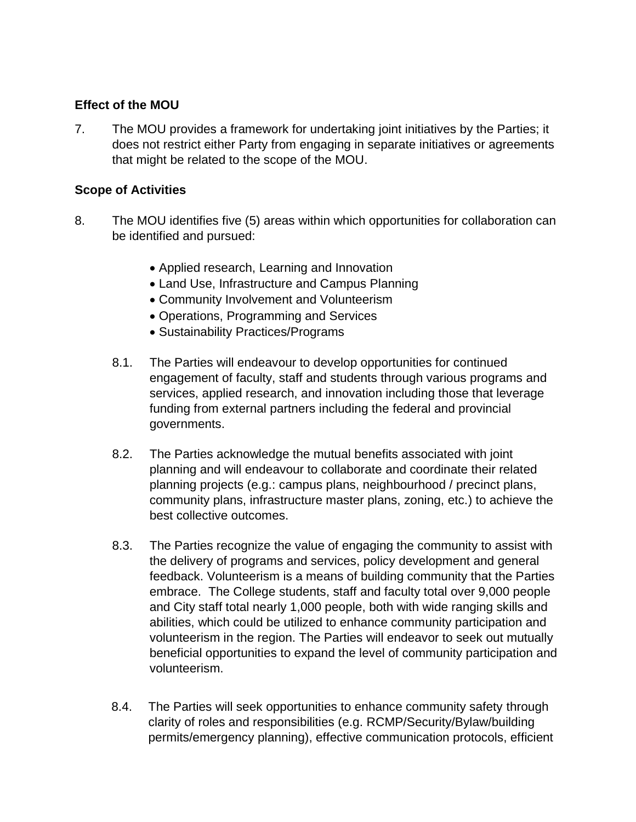#### **Effect of the MOU**

7. The MOU provides a framework for undertaking joint initiatives by the Parties; it does not restrict either Party from engaging in separate initiatives or agreements that might be related to the scope of the MOU.

#### **Scope of Activities**

- 8. The MOU identifies five (5) areas within which opportunities for collaboration can be identified and pursued:
	- Applied research, Learning and Innovation
	- Land Use, Infrastructure and Campus Planning
	- Community Involvement and Volunteerism
	- Operations, Programming and Services
	- Sustainability Practices/Programs
	- 8.1. The Parties will endeavour to develop opportunities for continued engagement of faculty, staff and students through various programs and services, applied research, and innovation including those that leverage funding from external partners including the federal and provincial governments.
	- 8.2. The Parties acknowledge the mutual benefits associated with joint planning and will endeavour to collaborate and coordinate their related planning projects (e.g.: campus plans, neighbourhood / precinct plans, community plans, infrastructure master plans, zoning, etc.) to achieve the best collective outcomes.
	- 8.3. The Parties recognize the value of engaging the community to assist with the delivery of programs and services, policy development and general feedback. Volunteerism is a means of building community that the Parties embrace. The College students, staff and faculty total over 9,000 people and City staff total nearly 1,000 people, both with wide ranging skills and abilities, which could be utilized to enhance community participation and volunteerism in the region. The Parties will endeavor to seek out mutually beneficial opportunities to expand the level of community participation and volunteerism.
	- 8.4. The Parties will seek opportunities to enhance community safety through clarity of roles and responsibilities (e.g. RCMP/Security/Bylaw/building permits/emergency planning), effective communication protocols, efficient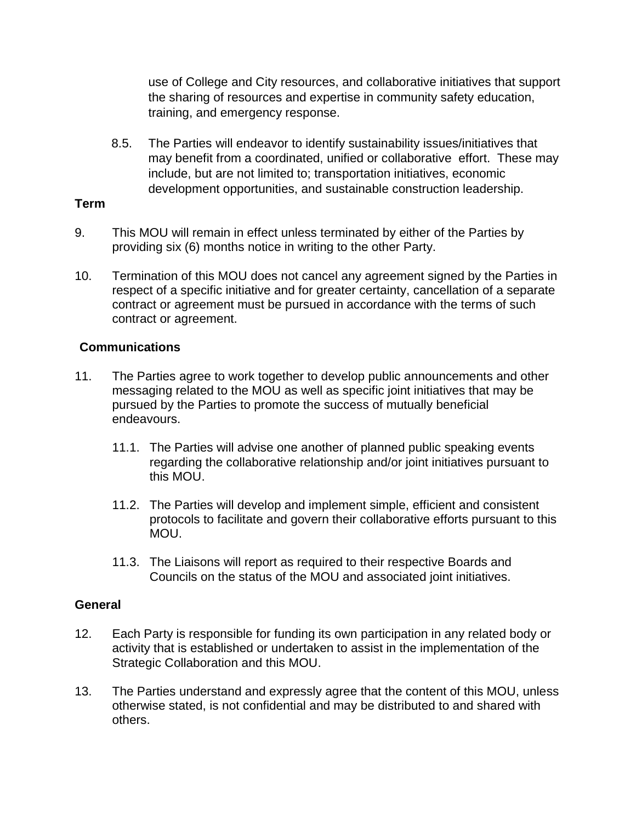use of College and City resources, and collaborative initiatives that support the sharing of resources and expertise in community safety education, training, and emergency response.

8.5. The Parties will endeavor to identify sustainability issues/initiatives that may benefit from a coordinated, unified or collaborative effort. These may include, but are not limited to; transportation initiatives, economic development opportunities, and sustainable construction leadership.

#### **Term**

- 9. This MOU will remain in effect unless terminated by either of the Parties by providing six (6) months notice in writing to the other Party.
- 10. Termination of this MOU does not cancel any agreement signed by the Parties in respect of a specific initiative and for greater certainty, cancellation of a separate contract or agreement must be pursued in accordance with the terms of such contract or agreement.

#### **Communications**

- 11. The Parties agree to work together to develop public announcements and other messaging related to the MOU as well as specific joint initiatives that may be pursued by the Parties to promote the success of mutually beneficial endeavours.
	- 11.1. The Parties will advise one another of planned public speaking events regarding the collaborative relationship and/or joint initiatives pursuant to this MOU.
	- 11.2. The Parties will develop and implement simple, efficient and consistent protocols to facilitate and govern their collaborative efforts pursuant to this MOU.
	- 11.3. The Liaisons will report as required to their respective Boards and Councils on the status of the MOU and associated joint initiatives.

#### **General**

- 12. Each Party is responsible for funding its own participation in any related body or activity that is established or undertaken to assist in the implementation of the Strategic Collaboration and this MOU.
- 13. The Parties understand and expressly agree that the content of this MOU, unless otherwise stated, is not confidential and may be distributed to and shared with others.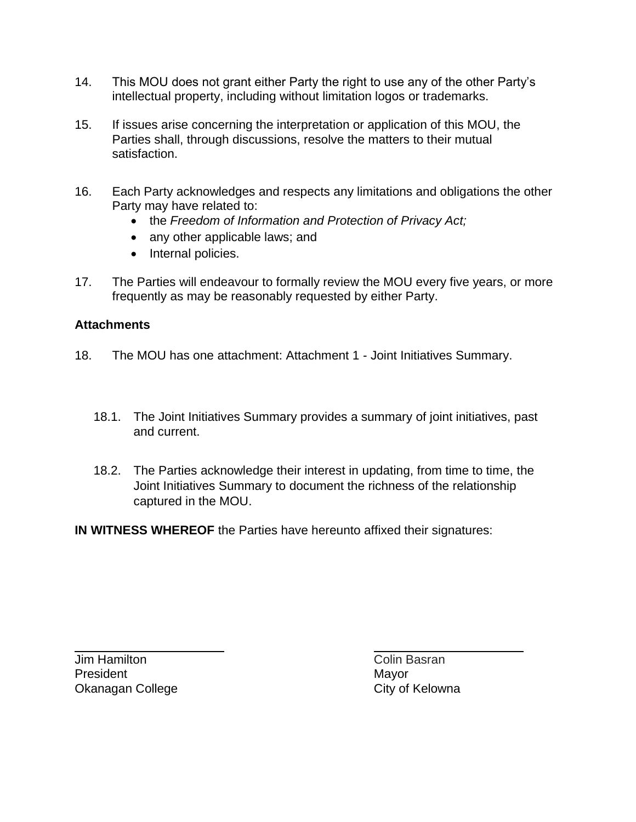- 14. This MOU does not grant either Party the right to use any of the other Party's intellectual property, including without limitation logos or trademarks.
- 15. If issues arise concerning the interpretation or application of this MOU, the Parties shall, through discussions, resolve the matters to their mutual satisfaction.
- 16. Each Party acknowledges and respects any limitations and obligations the other Party may have related to:
	- the *Freedom of Information and Protection of Privacy Act;*
	- any other applicable laws; and
	- Internal policies.
- 17. The Parties will endeavour to formally review the MOU every five years, or more frequently as may be reasonably requested by either Party.

#### **Attachments**

- 18. The MOU has one attachment: Attachment 1 Joint Initiatives Summary.
	- 18.1. The Joint Initiatives Summary provides a summary of joint initiatives, past and current.
	- 18.2. The Parties acknowledge their interest in updating, from time to time, the Joint Initiatives Summary to document the richness of the relationship captured in the MOU.

**IN WITNESS WHEREOF** the Parties have hereunto affixed their signatures:

**Jim Hamilton** Colin Basran President Mayor Okanagan College City of Kelowna